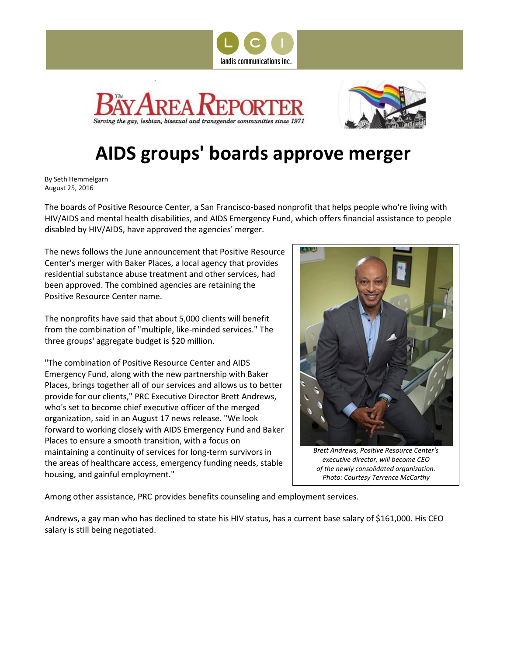





## **AIDS groups' boards approve merger**

By Seth Hemmelgarn August 25, 2016

The boards of Positive Resource Center, a San Francisco-based nonprofit that helps people who're living with HIV/AIDS and mental health disabilities, and AIDS Emergency Fund, which offers financial assistance to people disabled by HIV/AIDS, have approved the agencies' merger.

The news follows the June announcement that Positive Resource Center's merger with Baker Places, a local agency that provides residential substance abuse treatment and other services, had been approved. The combined agencies are retaining the Positive Resource Center name.

The nonprofits have said that about 5,000 clients will benefit from the combination of "multiple, like-minded services." The three groups' aggregate budget is \$20 million.

"The combination of Positive Resource Center and AIDS Emergency Fund, along with the new partnership with Baker Places, brings together all of our services and allows us to better provide for our clients," PRC Executive Director Brett Andrews, who's set to become chief executive officer of the merged organization, said in an August 17 news release. "We look forward to working closely with AIDS Emergency Fund and Baker Places to ensure a smooth transition, with a focus on maintaining a continuity of services for long-term survivors in the areas of healthcare access, emergency funding needs, stable housing, and gainful employment."



*Brett Andrews, Positive Resource Center's executive director, will become CEO of the newly consolidated organization. Photo: Courtesy Terrence McCarthy*

Among other assistance, PRC provides benefits counseling and employment services.

Andrews, a gay man who has declined to state his HIV status, has a current base salary of \$161,000. His CEO salary is still being negotiated.